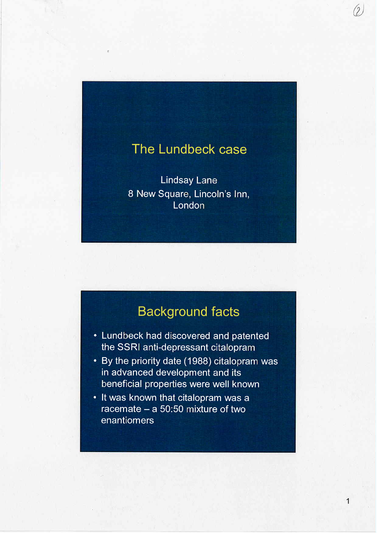## The Lundbeck case

l

(2

1

**Lindsay Lane** 8 New Square, Lincoln's Inn, London

# Background facts

- · Lundbeck had discovered and patented the SSRI anti-depressant citalopram
- · By the priority date (1988) citalopram was in advanced development and its beneficial properties were well known
- · It was known that citalopram was a racemate  $-$  a 50:50 mixture of two enantiomers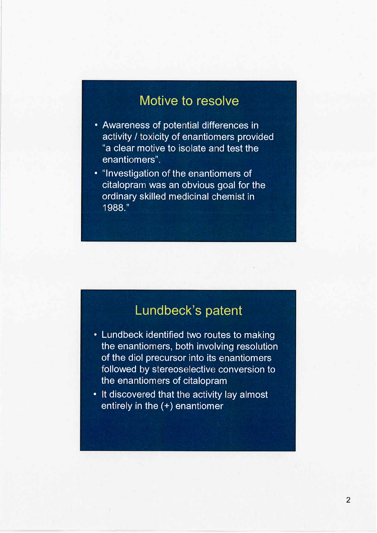#### Motive to resolve

- · Awareness of potential differences in activity / toxicity of enantiomers provided "a clear motive to isolate and test the enantiomers".
- · "Investigation of the enantiomers of citalopram was an obvious goal for the ordinary skilled medicinal chemist in 1988."

# Lundbeck's patent

- · Lundbeck identified two routes to making the enantiomers, both involving resolution of the diol precursor into its enantiomers followed by stereoselective conversion to the enantiomers of citalopram
- · It discovered that the activity lay almost entirely in the (+) enantiomer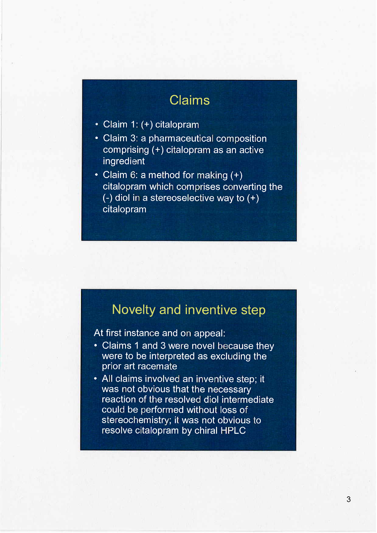# Claims

- · Claim 1: (+) citalopram
- · Claim 3: a pharmaceutical composition comprising (+) citalopram as an active ingredient
- · Claim 6: a method for making (+) citalopram which comprises converting the (-) diol in a stereoselective way to (+) citalopram

#### Novelty and inventive step

At first instance and on appeal:

- · Claims 1 and 3 were novel because they were to be interpreted as excluding the prior art racemate
- · All claims involved an inventive step; it was not obvious that the necessary reaction of the resolved diol intermediate could be performed without loss of stereochemistry; it was not obvious to resolve citalopram by chiral HPLC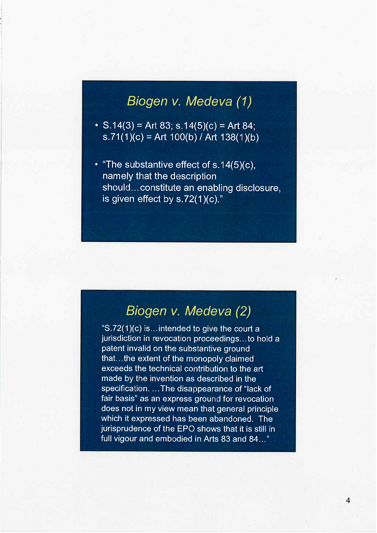# Biogen v. Medeva (1)

- S.14(3) = Art 83; s.14(5)(c) = Art 84; s.71(1)(c) = Art 100(b) / Art 138(1)(b)
- $\cdot$  "The substantive effect of s.14(5)(c), namely that the description should... constitute an enabling disclosure, is given effect by  $s.72(1)(c).$ "

#### Biogen v. Medeva (2)

"S.72(1)(c) is...intended to give the court a jurisdiction in revocation proceedings... to hold a patent invalid on the substantive ground that... the extent of the monopoly claimed exceeds the technical contribution to the art made by the invention as described in the specification. ... The disappearance of "lack of fair basis" as an express ground for revocation does not in my view mean that general principle which it expressed has been abandoned. The jurisprudence of the EPO shows that it is stil in full vigour and embodied in Arts 83 and 84..."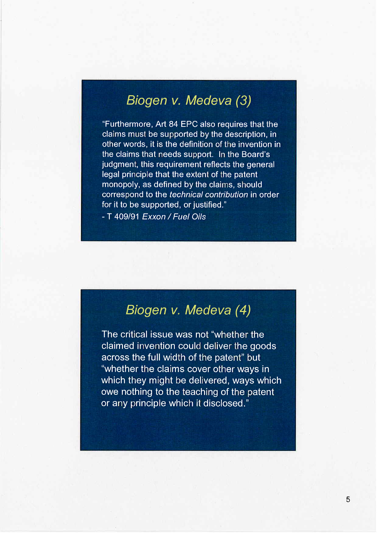## Biogen v. Medeva (3)

"Furthermore, Art 84 EPC also requires that the claims must be supported by the description, in other words, it is the definition of the invention in the claims that needs support. In the Board's judgment, this requirement reflects the general legal principle that the extent of the patent monopoly, as defined by the claims, should correspond to the technical contribution in order for it to be supported, or justified."

- T 409/91 Exxon / Fuel Oils

#### Biogen v. Medeva (4)

The critical issue was not "whether the claimed invention could deliver the goods across the full width of the patent" but "whether the claims cover other ways in which they might be delivered, ways which owe nothing to the teaching of the patent or any principle which it disclosed."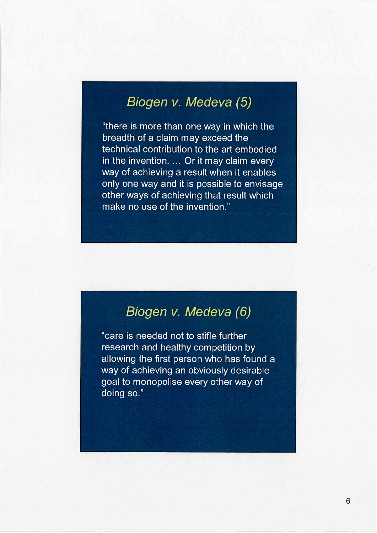## Biogen v. Medeva (5)

"there is more than one way in which the breadth of a claim may exceed the technical contribution to the art embodied in the invention. ... Or it may claim every way of achieving a result when it enables only one way and it is possible to envisage other ways of achieving that result which make no use of the invention."

## Biogen v. Medeva (6)

"care is needed not to stifle further research and healthy competition by allowing the first person who has found a way of achieving an obviously desirable goal to monopolise every other way of doing so."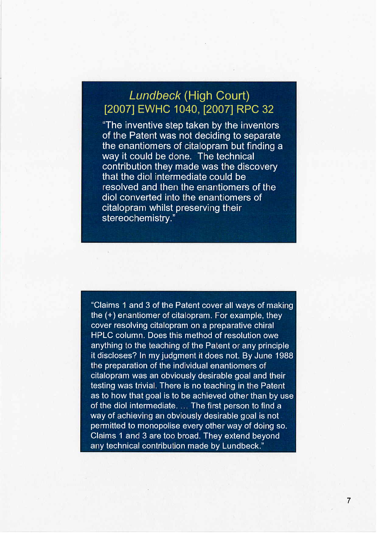#### Lundbeck (High Court) (2007) EWHC 1040, (2007) RPC 32

"The inventive step taken by the inventors of the Patent was not deciding to separate the enantiomers of citalopram but finding a way it could be done. The technical contribution they made was the discovery that the diol intermediate could be resolved and then the enantiomers of the diol converted into the enantiomers of citalopram whilst preserving their stereochemistry."

"Claims 1 and 3 of the Patent cover all ways of making the (+) enantiomer of citalopram. For example, they cover resolving citalopram on a preparative chiral HPLC column. Does this method of resolution owe anything to the teaching of the Patent or any principle it discloses? In my judgment it does not. By June 1988 the preparation of the individual enantiomers of citalopram was an obviously desirable goal and their testing was trivial. There is no teaching in the Patent as to how that goal is to be achieved other than by use of the diol intermediate. ... The first person to find a way of achieving an obviously desirable goal is not permitted to monopolise every other way of doing so. Claims 1 and 3 are too broad. They extend beyond any technical contribution made by Lundbeck."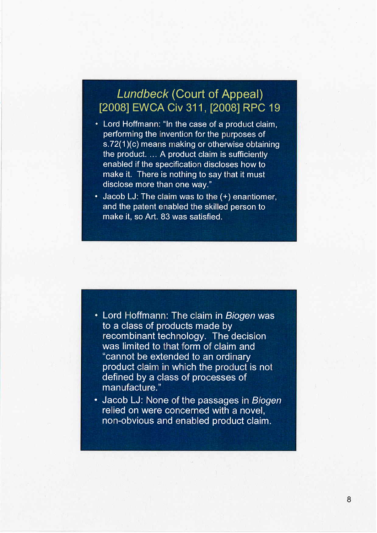#### Lundbeck (Court of Appeal) (2008) EWCA Civ 311, (2008) RPC 19

- · Lord Hoffmann: "In the case of a product claim, performing the invention for the purposes of s. 72(1)(c) means making or otherwise obtaining the product. ... A product claim is sufficiently enabled if the specification discloses how to make it. There is nothing to say that it must disclose more than one way."
- · Jacob LJ: The claim was to the (+) enantiomer, and the patent enabled the skilled person to make it, so Art. 83 was satisfied.

- · Lord Hoffmann: The claim in Biogen was to a class of products made by recombinant technology. The decision was limited to that form of claim and "cannot be extended to an ordinary product claim in which the product is not defined by a class of processes of manufacture."
- · Jacob LJ: None of the passages in Biogen relied on were concerned with a novel, non-obvious and enabled product claim.